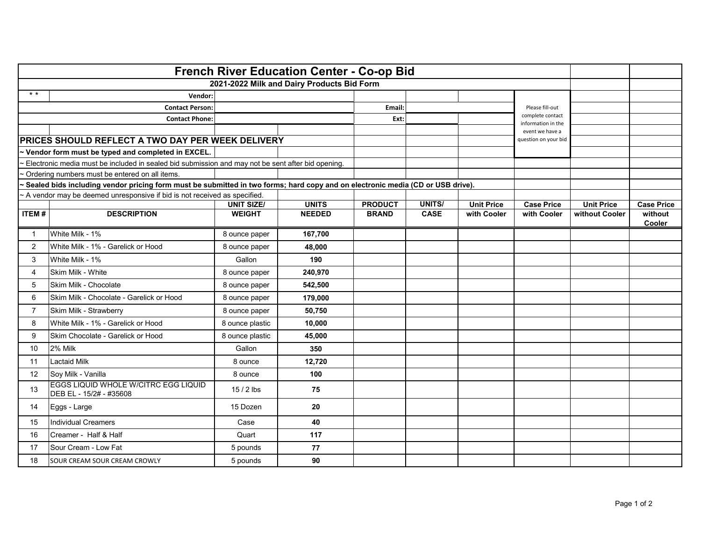| <b>French River Education Center - Co-op Bid</b>                                                                                                                                     |                                                                            |                   |               |                |               |                   |                                        |                   |                   |
|--------------------------------------------------------------------------------------------------------------------------------------------------------------------------------------|----------------------------------------------------------------------------|-------------------|---------------|----------------|---------------|-------------------|----------------------------------------|-------------------|-------------------|
| 2021-2022 Milk and Dairy Products Bid Form                                                                                                                                           |                                                                            |                   |               |                |               |                   |                                        |                   |                   |
| $* *$                                                                                                                                                                                | Vendor:                                                                    |                   |               |                |               |                   |                                        |                   |                   |
| <b>Contact Person:</b>                                                                                                                                                               |                                                                            |                   | Email:        |                |               | Please fill-out   |                                        |                   |                   |
|                                                                                                                                                                                      | <b>Contact Phone:</b>                                                      |                   |               | Ext:           |               |                   | complete contact<br>information in the |                   |                   |
|                                                                                                                                                                                      |                                                                            |                   |               |                |               |                   | event we have a                        |                   |                   |
| PRICES SHOULD REFLECT A TWO DAY PER WEEK DELIVERY                                                                                                                                    |                                                                            |                   |               |                |               |                   | question on your bid                   |                   |                   |
|                                                                                                                                                                                      | ~ Vendor form must be typed and completed in EXCEL.                        |                   |               |                |               |                   |                                        |                   |                   |
| Electronic media must be included in sealed bid submission and may not be sent after bid opening.                                                                                    |                                                                            |                   |               |                |               |                   |                                        |                   |                   |
| ~ Ordering numbers must be entered on all items.<br>~ Sealed bids including vendor pricing form must be submitted in two forms; hard copy and on electronic media (CD or USB drive). |                                                                            |                   |               |                |               |                   |                                        |                   |                   |
|                                                                                                                                                                                      | ~ A vendor may be deemed unresponsive if bid is not received as specified. |                   |               |                |               |                   |                                        |                   |                   |
|                                                                                                                                                                                      |                                                                            | <b>UNIT SIZE/</b> | <b>UNITS</b>  | <b>PRODUCT</b> | <b>UNITS/</b> | <b>Unit Price</b> | <b>Case Price</b>                      | <b>Unit Price</b> | <b>Case Price</b> |
| <b>ITEM#</b>                                                                                                                                                                         | <b>DESCRIPTION</b>                                                         | <b>WEIGHT</b>     | <b>NEEDED</b> | <b>BRAND</b>   | <b>CASE</b>   | with Cooler       | with Cooler                            | without Cooler    | without<br>Cooler |
| $\mathbf 1$                                                                                                                                                                          | White Milk - 1%                                                            | 8 ounce paper     | 167,700       |                |               |                   |                                        |                   |                   |
| 2                                                                                                                                                                                    | White Milk - 1% - Garelick or Hood                                         | 8 ounce paper     | 48,000        |                |               |                   |                                        |                   |                   |
| 3                                                                                                                                                                                    | White Milk - 1%                                                            | Gallon            | 190           |                |               |                   |                                        |                   |                   |
| 4                                                                                                                                                                                    | Skim Milk - White                                                          | 8 ounce paper     | 240,970       |                |               |                   |                                        |                   |                   |
| 5                                                                                                                                                                                    | Skim Milk - Chocolate                                                      | 8 ounce paper     | 542,500       |                |               |                   |                                        |                   |                   |
| 6                                                                                                                                                                                    | Skim Milk - Chocolate - Garelick or Hood                                   | 8 ounce paper     | 179,000       |                |               |                   |                                        |                   |                   |
| $\overline{7}$                                                                                                                                                                       | Skim Milk - Strawberry                                                     | 8 ounce paper     | 50,750        |                |               |                   |                                        |                   |                   |
| 8                                                                                                                                                                                    | White Milk - 1% - Garelick or Hood                                         | 8 ounce plastic   | 10,000        |                |               |                   |                                        |                   |                   |
| 9                                                                                                                                                                                    | Skim Chocolate - Garelick or Hood                                          | 8 ounce plastic   | 45,000        |                |               |                   |                                        |                   |                   |
| 10                                                                                                                                                                                   | 2% Milk                                                                    | Gallon            | 350           |                |               |                   |                                        |                   |                   |
| 11                                                                                                                                                                                   | <b>Lactaid Milk</b>                                                        | 8 ounce           | 12,720        |                |               |                   |                                        |                   |                   |
| 12                                                                                                                                                                                   | Soy Milk - Vanilla                                                         | 8 ounce           | 100           |                |               |                   |                                        |                   |                   |
| 13                                                                                                                                                                                   | EGGS LIQUID WHOLE W/CITRC EGG LIQUID<br>DEB EL - 15/2# - #35608            | $15/2$ lbs        | 75            |                |               |                   |                                        |                   |                   |
| 14                                                                                                                                                                                   | Eggs - Large                                                               | 15 Dozen          | 20            |                |               |                   |                                        |                   |                   |
| 15                                                                                                                                                                                   | <b>Individual Creamers</b>                                                 | Case              | 40            |                |               |                   |                                        |                   |                   |
| 16                                                                                                                                                                                   | Creamer - Half & Half                                                      | Quart             | 117           |                |               |                   |                                        |                   |                   |
| 17                                                                                                                                                                                   | Sour Cream - Low Fat                                                       | 5 pounds          | 77            |                |               |                   |                                        |                   |                   |
| 18                                                                                                                                                                                   | SOUR CREAM SOUR CREAM CROWLY                                               | 5 pounds          | 90            |                |               |                   |                                        |                   |                   |